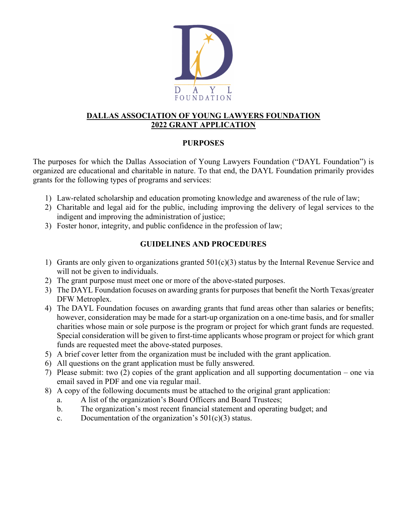

### **DALLAS ASSOCIATION OF YOUNG LAWYERS FOUNDATION 2022 GRANT APPLICATION**

### **PURPOSES**

The purposes for which the Dallas Association of Young Lawyers Foundation ("DAYL Foundation") is organized are educational and charitable in nature. To that end, the DAYL Foundation primarily provides grants for the following types of programs and services:

- 1) Law-related scholarship and education promoting knowledge and awareness of the rule of law;
- 2) Charitable and legal aid for the public, including improving the delivery of legal services to the indigent and improving the administration of justice;
- 3) Foster honor, integrity, and public confidence in the profession of law;

# **GUIDELINES AND PROCEDURES**

- 1) Grants are only given to organizations granted 501(c)(3) status by the Internal Revenue Service and will not be given to individuals.
- 2) The grant purpose must meet one or more of the above-stated purposes.
- 3) The DAYL Foundation focuses on awarding grants for purposes that benefit the North Texas/greater DFW Metroplex.
- 4) The DAYL Foundation focuses on awarding grants that fund areas other than salaries or benefits; however, consideration may be made for a start-up organization on a one-time basis, and for smaller charities whose main or sole purpose is the program or project for which grant funds are requested. Special consideration will be given to first-time applicants whose program or project for which grant funds are requested meet the above-stated purposes.
- 5) A brief cover letter from the organization must be included with the grant application.
- 6) All questions on the grant application must be fully answered.
- 7) Please submit: two (2) copies of the grant application and all supporting documentation one via email saved in PDF and one via regular mail.
- 8) A copy of the following documents must be attached to the original grant application:
	- a. A list of the organization's Board Officers and Board Trustees;
	- b. The organization's most recent financial statement and operating budget; and
	- c. Documentation of the organization's  $501(c)(3)$  status.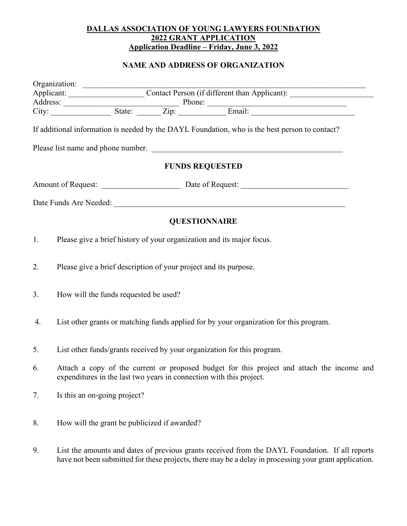#### **DALLAS ASSOCIATION OF YOUNG LAWYERS FOUNDATION 2022 GRANT APPLICATION Application Deadline – Friday, June 3, 2022**

# **NAME AND ADDRESS OF ORGANIZATION**

|    |                                                                                        |                                                                                                                                                                   |  | If additional information is needed by the DAYL Foundation, who is the best person to contact?                                                                                                                                 |
|----|----------------------------------------------------------------------------------------|-------------------------------------------------------------------------------------------------------------------------------------------------------------------|--|--------------------------------------------------------------------------------------------------------------------------------------------------------------------------------------------------------------------------------|
|    |                                                                                        |                                                                                                                                                                   |  | Please list name and phone number.                                                                                                                                                                                             |
|    |                                                                                        |                                                                                                                                                                   |  | <b>FUNDS REQUESTED</b>                                                                                                                                                                                                         |
|    |                                                                                        |                                                                                                                                                                   |  |                                                                                                                                                                                                                                |
|    |                                                                                        |                                                                                                                                                                   |  | Date Funds Are Needed: 2000 and 2000 and 2000 and 2000 and 2000 and 2000 and 2000 and 2000 and 2000 and 2000 and 2000 and 2000 and 2000 and 2000 and 2000 and 2000 and 2000 and 2000 and 2000 and 2000 and 2000 and 2000 and 2 |
|    |                                                                                        |                                                                                                                                                                   |  | <b>QUESTIONNAIRE</b>                                                                                                                                                                                                           |
| 1. | Please give a brief history of your organization and its major focus.                  |                                                                                                                                                                   |  |                                                                                                                                                                                                                                |
| 2. | Please give a brief description of your project and its purpose.                       |                                                                                                                                                                   |  |                                                                                                                                                                                                                                |
| 3. |                                                                                        | How will the funds requested be used?                                                                                                                             |  |                                                                                                                                                                                                                                |
| 4. | List other grants or matching funds applied for by your organization for this program. |                                                                                                                                                                   |  |                                                                                                                                                                                                                                |
| 5. | List other funds/grants received by your organization for this program.                |                                                                                                                                                                   |  |                                                                                                                                                                                                                                |
| 6. |                                                                                        | Attach a copy of the current or proposed budget for this project and attach the income and<br>expenditures in the last two years in connection with this project. |  |                                                                                                                                                                                                                                |
| 7. | Is this an on-going project?                                                           |                                                                                                                                                                   |  |                                                                                                                                                                                                                                |
| 8. | How will the grant be publicized if awarded?                                           |                                                                                                                                                                   |  |                                                                                                                                                                                                                                |
| 9. |                                                                                        |                                                                                                                                                                   |  | List the amounts and dates of previous grants received from the DAYL Foundation. If all reports                                                                                                                                |

have not been submitted for these projects, there may be a delay in processing your grant application.